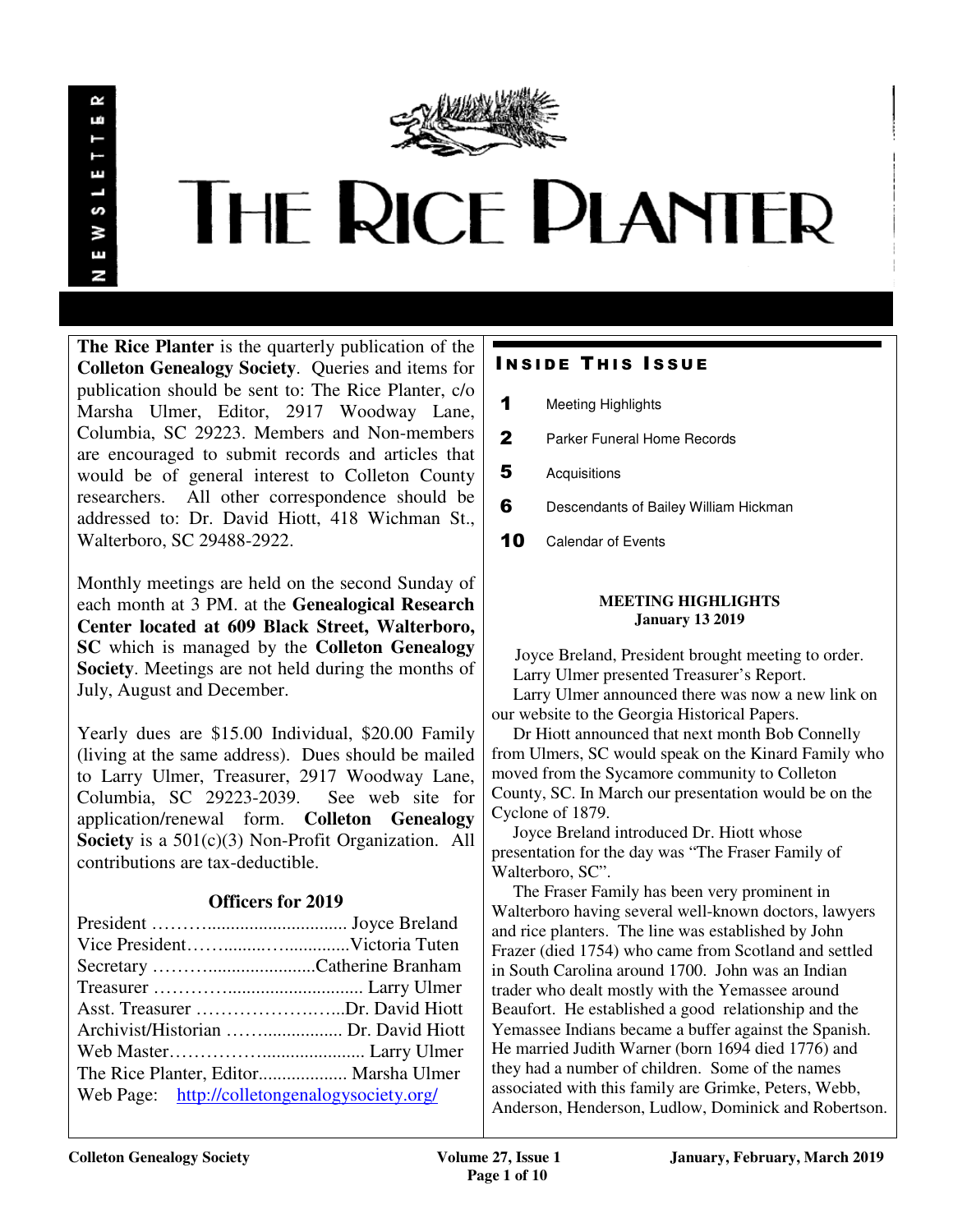

# **THE RICE PLANTER**

**The Rice Planter** is the quarterly publication of the **Colleton Genealogy Society**. Queries and items for publication should be sent to: The Rice Planter, c/o Marsha Ulmer, Editor, 2917 Woodway Lane, Columbia, SC 29223. Members and Non-members are encouraged to submit records and articles that would be of general interest to Colleton County researchers. All other correspondence should be addressed to: Dr. David Hiott, 418 Wichman St., Walterboro, SC 29488-2922.

Monthly meetings are held on the second Sunday of each month at 3 PM. at the **Genealogical Research Center located at 609 Black Street, Walterboro, SC** which is managed by the **Colleton Genealogy Society**. Meetings are not held during the months of July, August and December.

Yearly dues are \$15.00 Individual, \$20.00 Family (living at the same address). Dues should be mailed to Larry Ulmer, Treasurer, 2917 Woodway Lane, Columbia, SC 29223-2039. See web site for application/renewal form. **Colleton Genealogy Society** is a 501(c)(3) Non-Profit Organization. All contributions are tax-deductible.

# **Officers for 2019**

| Asst. Treasurer Dr. David Hiott               |  |
|-----------------------------------------------|--|
|                                               |  |
|                                               |  |
|                                               |  |
| Web Page: http://colletongenalogysociety.org/ |  |

# **INSIDE THIS ISSUE**

- 1 Meeting Highlights
- 2 Parker Funeral Home Records
- **5** Acquisitions
- 6 Descendants of Bailey William Hickman
- 10 Calendar of Events

#### **MEETING HIGHLIGHTS January 13 2019**

 Joyce Breland, President brought meeting to order. Larry Ulmer presented Treasurer's Report. Larry Ulmer announced there was now a new link on our website to the Georgia Historical Papers.

 Dr Hiott announced that next month Bob Connelly from Ulmers, SC would speak on the Kinard Family who moved from the Sycamore community to Colleton County, SC. In March our presentation would be on the Cyclone of 1879.

 Joyce Breland introduced Dr. Hiott whose presentation for the day was "The Fraser Family of Walterboro, SC".

 The Fraser Family has been very prominent in Walterboro having several well-known doctors, lawyers and rice planters. The line was established by John Frazer (died 1754) who came from Scotland and settled in South Carolina around 1700. John was an Indian trader who dealt mostly with the Yemassee around Beaufort. He established a good relationship and the Yemassee Indians became a buffer against the Spanish. He married Judith Warner (born 1694 died 1776) and they had a number of children. Some of the names associated with this family are Grimke, Peters, Webb, Anderson, Henderson, Ludlow, Dominick and Robertson.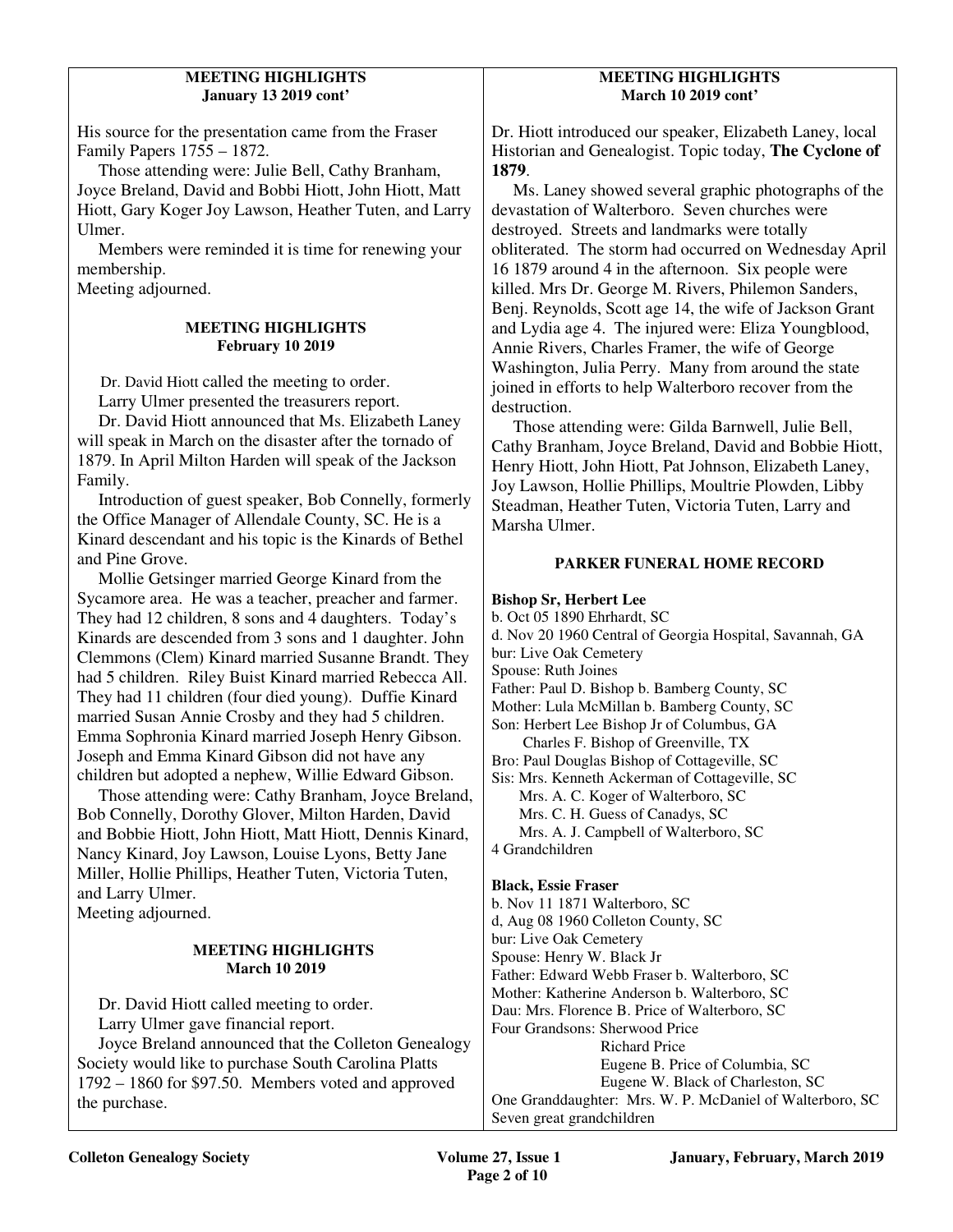#### **MEETING HIGHLIGHTS January 13 2019 cont'**

His source for the presentation came from the Fraser Family Papers 1755 – 1872.

 Those attending were: Julie Bell, Cathy Branham, Joyce Breland, David and Bobbi Hiott, John Hiott, Matt Hiott, Gary Koger Joy Lawson, Heather Tuten, and Larry Ulmer.

 Members were reminded it is time for renewing your membership.

Meeting adjourned.

#### **MEETING HIGHLIGHTS February 10 2019**

Dr. David Hiott called the meeting to order.

Larry Ulmer presented the treasurers report.

 Dr. David Hiott announced that Ms. Elizabeth Laney will speak in March on the disaster after the tornado of 1879. In April Milton Harden will speak of the Jackson Family.

 Introduction of guest speaker, Bob Connelly, formerly the Office Manager of Allendale County, SC. He is a Kinard descendant and his topic is the Kinards of Bethel and Pine Grove.

 Mollie Getsinger married George Kinard from the Sycamore area. He was a teacher, preacher and farmer. They had 12 children, 8 sons and 4 daughters. Today's Kinards are descended from 3 sons and 1 daughter. John Clemmons (Clem) Kinard married Susanne Brandt. They had 5 children. Riley Buist Kinard married Rebecca All. They had 11 children (four died young). Duffie Kinard married Susan Annie Crosby and they had 5 children. Emma Sophronia Kinard married Joseph Henry Gibson. Joseph and Emma Kinard Gibson did not have any children but adopted a nephew, Willie Edward Gibson.

 Those attending were: Cathy Branham, Joyce Breland, Bob Connelly, Dorothy Glover, Milton Harden, David and Bobbie Hiott, John Hiott, Matt Hiott, Dennis Kinard, Nancy Kinard, Joy Lawson, Louise Lyons, Betty Jane Miller, Hollie Phillips, Heather Tuten, Victoria Tuten, and Larry Ulmer. Meeting adjourned.

#### **MEETING HIGHLIGHTS March 10 2019**

Dr. David Hiott called meeting to order.

Larry Ulmer gave financial report.

 Joyce Breland announced that the Colleton Genealogy Society would like to purchase South Carolina Platts 1792 – 1860 for \$97.50. Members voted and approved the purchase.

#### **MEETING HIGHLIGHTS March 10 2019 cont'**

Dr. Hiott introduced our speaker, Elizabeth Laney, local Historian and Genealogist. Topic today, **The Cyclone of 1879**.

 Ms. Laney showed several graphic photographs of the devastation of Walterboro. Seven churches were destroyed. Streets and landmarks were totally obliterated. The storm had occurred on Wednesday April 16 1879 around 4 in the afternoon. Six people were killed. Mrs Dr. George M. Rivers, Philemon Sanders, Benj. Reynolds, Scott age 14, the wife of Jackson Grant and Lydia age 4. The injured were: Eliza Youngblood, Annie Rivers, Charles Framer, the wife of George Washington, Julia Perry. Many from around the state joined in efforts to help Walterboro recover from the destruction.

 Those attending were: Gilda Barnwell, Julie Bell, Cathy Branham, Joyce Breland, David and Bobbie Hiott, Henry Hiott, John Hiott, Pat Johnson, Elizabeth Laney, Joy Lawson, Hollie Phillips, Moultrie Plowden, Libby Steadman, Heather Tuten, Victoria Tuten, Larry and Marsha Ulmer.

### **PARKER FUNERAL HOME RECORD**

#### **Bishop Sr, Herbert Lee**

b. Oct 05 1890 Ehrhardt, SC d. Nov 20 1960 Central of Georgia Hospital, Savannah, GA bur: Live Oak Cemetery Spouse: Ruth Joines Father: Paul D. Bishop b. Bamberg County, SC Mother: Lula McMillan b. Bamberg County, SC Son: Herbert Lee Bishop Jr of Columbus, GA Charles F. Bishop of Greenville, TX Bro: Paul Douglas Bishop of Cottageville, SC Sis: Mrs. Kenneth Ackerman of Cottageville, SC Mrs. A. C. Koger of Walterboro, SC Mrs. C. H. Guess of Canadys, SC Mrs. A. J. Campbell of Walterboro, SC 4 Grandchildren

#### **Black, Essie Fraser**

b. Nov 11 1871 Walterboro, SC d, Aug 08 1960 Colleton County, SC bur: Live Oak Cemetery Spouse: Henry W. Black Jr Father: Edward Webb Fraser b. Walterboro, SC Mother: Katherine Anderson b. Walterboro, SC Dau: Mrs. Florence B. Price of Walterboro, SC Four Grandsons: Sherwood Price Richard Price Eugene B. Price of Columbia, SC Eugene W. Black of Charleston, SC One Granddaughter: Mrs. W. P. McDaniel of Walterboro, SC Seven great grandchildren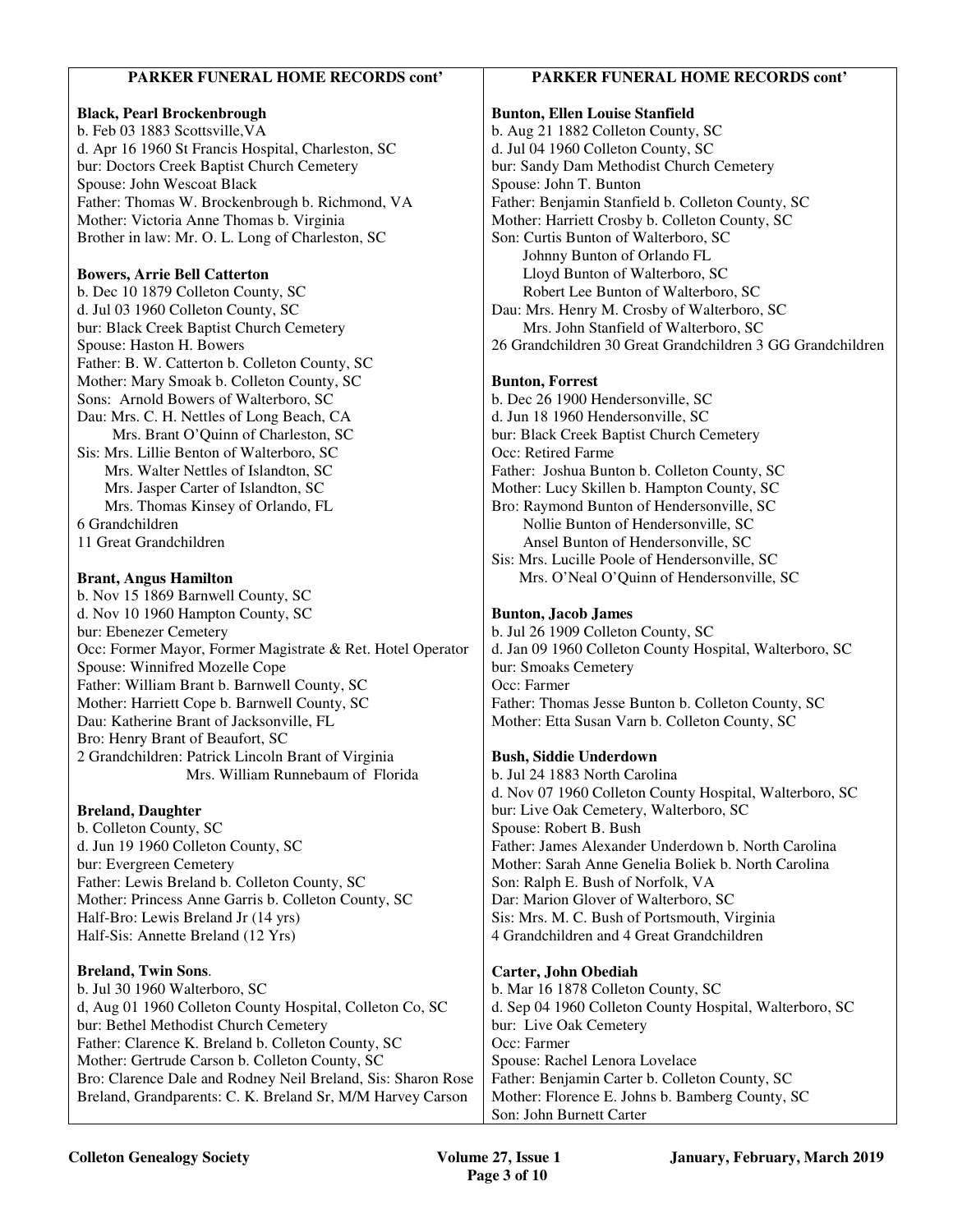#### **PARKER FUNERAL HOME RECORDS cont'**

#### **Black, Pearl Brockenbrough**

b. Feb 03 1883 Scottsville,VA d. Apr 16 1960 St Francis Hospital, Charleston, SC bur: Doctors Creek Baptist Church Cemetery Spouse: John Wescoat Black Father: Thomas W. Brockenbrough b. Richmond, VA Mother: Victoria Anne Thomas b. Virginia Brother in law: Mr. O. L. Long of Charleston, SC

#### **Bowers, Arrie Bell Catterton**

b. Dec 10 1879 Colleton County, SC d. Jul 03 1960 Colleton County, SC bur: Black Creek Baptist Church Cemetery Spouse: Haston H. Bowers Father: B. W. Catterton b. Colleton County, SC Mother: Mary Smoak b. Colleton County, SC Sons: Arnold Bowers of Walterboro, SC Dau: Mrs. C. H. Nettles of Long Beach, CA Mrs. Brant O'Quinn of Charleston, SC Sis: Mrs. Lillie Benton of Walterboro, SC Mrs. Walter Nettles of Islandton, SC Mrs. Jasper Carter of Islandton, SC Mrs. Thomas Kinsey of Orlando, FL 6 Grandchildren 11 Great Grandchildren

#### **Brant, Angus Hamilton**

b. Nov 15 1869 Barnwell County, SC d. Nov 10 1960 Hampton County, SC bur: Ebenezer Cemetery Occ: Former Mayor, Former Magistrate & Ret. Hotel Operator Spouse: Winnifred Mozelle Cope Father: William Brant b. Barnwell County, SC Mother: Harriett Cope b. Barnwell County, SC Dau: Katherine Brant of Jacksonville, FL Bro: Henry Brant of Beaufort, SC 2 Grandchildren: Patrick Lincoln Brant of Virginia Mrs. William Runnebaum of Florida

#### **Breland, Daughter**

b. Colleton County, SC d. Jun 19 1960 Colleton County, SC bur: Evergreen Cemetery Father: Lewis Breland b. Colleton County, SC Mother: Princess Anne Garris b. Colleton County, SC Half-Bro: Lewis Breland Jr (14 yrs) Half-Sis: Annette Breland (12 Yrs)

#### **Breland, Twin Sons**.

b. Jul 30 1960 Walterboro, SC d, Aug 01 1960 Colleton County Hospital, Colleton Co, SC bur: Bethel Methodist Church Cemetery Father: Clarence K. Breland b. Colleton County, SC Mother: Gertrude Carson b. Colleton County, SC Bro: Clarence Dale and Rodney Neil Breland, Sis: Sharon Rose Breland, Grandparents: C. K. Breland Sr, M/M Harvey Carson

#### **PARKER FUNERAL HOME RECORDS cont'**

**Bunton, Ellen Louise Stanfield**  b. Aug 21 1882 Colleton County, SC d. Jul 04 1960 Colleton County, SC bur: Sandy Dam Methodist Church Cemetery Spouse: John T. Bunton Father: Benjamin Stanfield b. Colleton County, SC Mother: Harriett Crosby b. Colleton County, SC Son: Curtis Bunton of Walterboro, SC Johnny Bunton of Orlando FL Lloyd Bunton of Walterboro, SC Robert Lee Bunton of Walterboro, SC Dau: Mrs. Henry M. Crosby of Walterboro, SC Mrs. John Stanfield of Walterboro, SC 26 Grandchildren 30 Great Grandchildren 3 GG Grandchildren **Bunton, Forrest**  b. Dec 26 1900 Hendersonville, SC d. Jun 18 1960 Hendersonville, SC

bur: Black Creek Baptist Church Cemetery Occ: Retired Farme Father: Joshua Bunton b. Colleton County, SC Mother: Lucy Skillen b. Hampton County, SC Bro: Raymond Bunton of Hendersonville, SC Nollie Bunton of Hendersonville, SC Ansel Bunton of Hendersonville, SC Sis: Mrs. Lucille Poole of Hendersonville, SC Mrs. O'Neal O'Quinn of Hendersonville, SC

#### **Bunton, Jacob James**

b. Jul 26 1909 Colleton County, SC d. Jan 09 1960 Colleton County Hospital, Walterboro, SC bur: Smoaks Cemetery Occ: Farmer Father: Thomas Jesse Bunton b. Colleton County, SC Mother: Etta Susan Varn b. Colleton County, SC

#### **Bush, Siddie Underdown**

b. Jul 24 1883 North Carolina d. Nov 07 1960 Colleton County Hospital, Walterboro, SC bur: Live Oak Cemetery, Walterboro, SC Spouse: Robert B. Bush Father: James Alexander Underdown b. North Carolina Mother: Sarah Anne Genelia Boliek b. North Carolina Son: Ralph E. Bush of Norfolk, VA Dar: Marion Glover of Walterboro, SC Sis: Mrs. M. C. Bush of Portsmouth, Virginia 4 Grandchildren and 4 Great Grandchildren

#### **Carter, John Obediah**

b. Mar 16 1878 Colleton County, SC d. Sep 04 1960 Colleton County Hospital, Walterboro, SC bur: Live Oak Cemetery Occ: Farmer Spouse: Rachel Lenora Lovelace Father: Benjamin Carter b. Colleton County, SC Mother: Florence E. Johns b. Bamberg County, SC Son: John Burnett Carter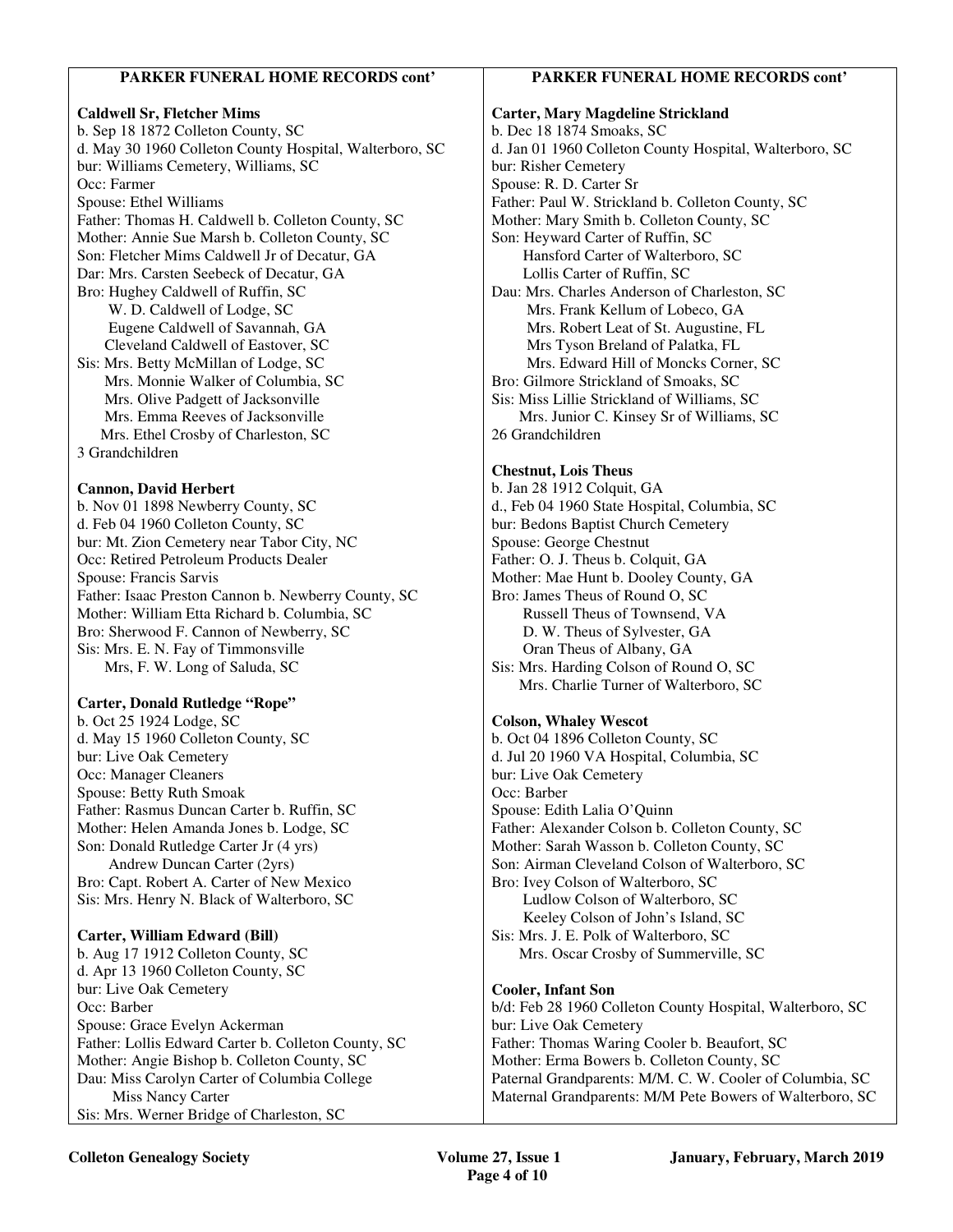## **PARKER FUNERAL HOME RECORDS cont'**

#### **Caldwell Sr, Fletcher Mims**

b. Sep 18 1872 Colleton County, SC d. May 30 1960 Colleton County Hospital, Walterboro, SC bur: Williams Cemetery, Williams, SC Occ: Farmer Spouse: Ethel Williams Father: Thomas H. Caldwell b. Colleton County, SC Mother: Annie Sue Marsh b. Colleton County, SC Son: Fletcher Mims Caldwell Jr of Decatur, GA Dar: Mrs. Carsten Seebeck of Decatur, GA Bro: Hughey Caldwell of Ruffin, SC W. D. Caldwell of Lodge, SC Eugene Caldwell of Savannah, GA Cleveland Caldwell of Eastover, SC Sis: Mrs. Betty McMillan of Lodge, SC Mrs. Monnie Walker of Columbia, SC Mrs. Olive Padgett of Jacksonville Mrs. Emma Reeves of Jacksonville Mrs. Ethel Crosby of Charleston, SC 3 Grandchildren **Cannon, David Herbert**  b. Nov 01 1898 Newberry County, SC

d. Feb 04 1960 Colleton County, SC bur: Mt. Zion Cemetery near Tabor City, NC Occ: Retired Petroleum Products Dealer Spouse: Francis Sarvis Father: Isaac Preston Cannon b. Newberry County, SC Mother: William Etta Richard b. Columbia, SC Bro: Sherwood F. Cannon of Newberry, SC Sis: Mrs. E. N. Fay of Timmonsville Mrs, F. W. Long of Saluda, SC

#### **Carter, Donald Rutledge "Rope"**

b. Oct 25 1924 Lodge, SC d. May 15 1960 Colleton County, SC bur: Live Oak Cemetery Occ: Manager Cleaners Spouse: Betty Ruth Smoak Father: Rasmus Duncan Carter b. Ruffin, SC Mother: Helen Amanda Jones b. Lodge, SC Son: Donald Rutledge Carter Jr (4 yrs) Andrew Duncan Carter (2yrs) Bro: Capt. Robert A. Carter of New Mexico Sis: Mrs. Henry N. Black of Walterboro, SC

#### **Carter, William Edward (Bill)**

b. Aug 17 1912 Colleton County, SC d. Apr 13 1960 Colleton County, SC bur: Live Oak Cemetery Occ: Barber Spouse: Grace Evelyn Ackerman Father: Lollis Edward Carter b. Colleton County, SC Mother: Angie Bishop b. Colleton County, SC Dau: Miss Carolyn Carter of Columbia College Miss Nancy Carter Sis: Mrs. Werner Bridge of Charleston, SC

#### **PARKER FUNERAL HOME RECORDS cont'**

#### **Carter, Mary Magdeline Strickland**  b. Dec 18 1874 Smoaks, SC d. Jan 01 1960 Colleton County Hospital, Walterboro, SC bur: Risher Cemetery Spouse: R. D. Carter Sr Father: Paul W. Strickland b. Colleton County, SC Mother: Mary Smith b. Colleton County, SC Son: Heyward Carter of Ruffin, SC Hansford Carter of Walterboro, SC Lollis Carter of Ruffin, SC Dau: Mrs. Charles Anderson of Charleston, SC Mrs. Frank Kellum of Lobeco, GA Mrs. Robert Leat of St. Augustine, FL Mrs Tyson Breland of Palatka, FL Mrs. Edward Hill of Moncks Corner, SC

Bro: Gilmore Strickland of Smoaks, SC Sis: Miss Lillie Strickland of Williams, SC Mrs. Junior C. Kinsey Sr of Williams, SC

26 Grandchildren

#### **Chestnut, Lois Theus**

b. Jan 28 1912 Colquit, GA d., Feb 04 1960 State Hospital, Columbia, SC bur: Bedons Baptist Church Cemetery Spouse: George Chestnut Father: O. J. Theus b. Colquit, GA Mother: Mae Hunt b. Dooley County, GA Bro: James Theus of Round O, SC Russell Theus of Townsend, VA D. W. Theus of Sylvester, GA Oran Theus of Albany, GA Sis: Mrs. Harding Colson of Round O, SC Mrs. Charlie Turner of Walterboro, SC

#### **Colson, Whaley Wescot**

b. Oct 04 1896 Colleton County, SC d. Jul 20 1960 VA Hospital, Columbia, SC bur: Live Oak Cemetery Occ: Barber Spouse: Edith Lalia O'Quinn Father: Alexander Colson b. Colleton County, SC Mother: Sarah Wasson b. Colleton County, SC Son: Airman Cleveland Colson of Walterboro, SC Bro: Ivey Colson of Walterboro, SC Ludlow Colson of Walterboro, SC Keeley Colson of John's Island, SC Sis: Mrs. J. E. Polk of Walterboro, SC Mrs. Oscar Crosby of Summerville, SC

#### **Cooler, Infant Son**

b/d: Feb 28 1960 Colleton County Hospital, Walterboro, SC bur: Live Oak Cemetery Father: Thomas Waring Cooler b. Beaufort, SC Mother: Erma Bowers b. Colleton County, SC Paternal Grandparents: M/M. C. W. Cooler of Columbia, SC Maternal Grandparents: M/M Pete Bowers of Walterboro, SC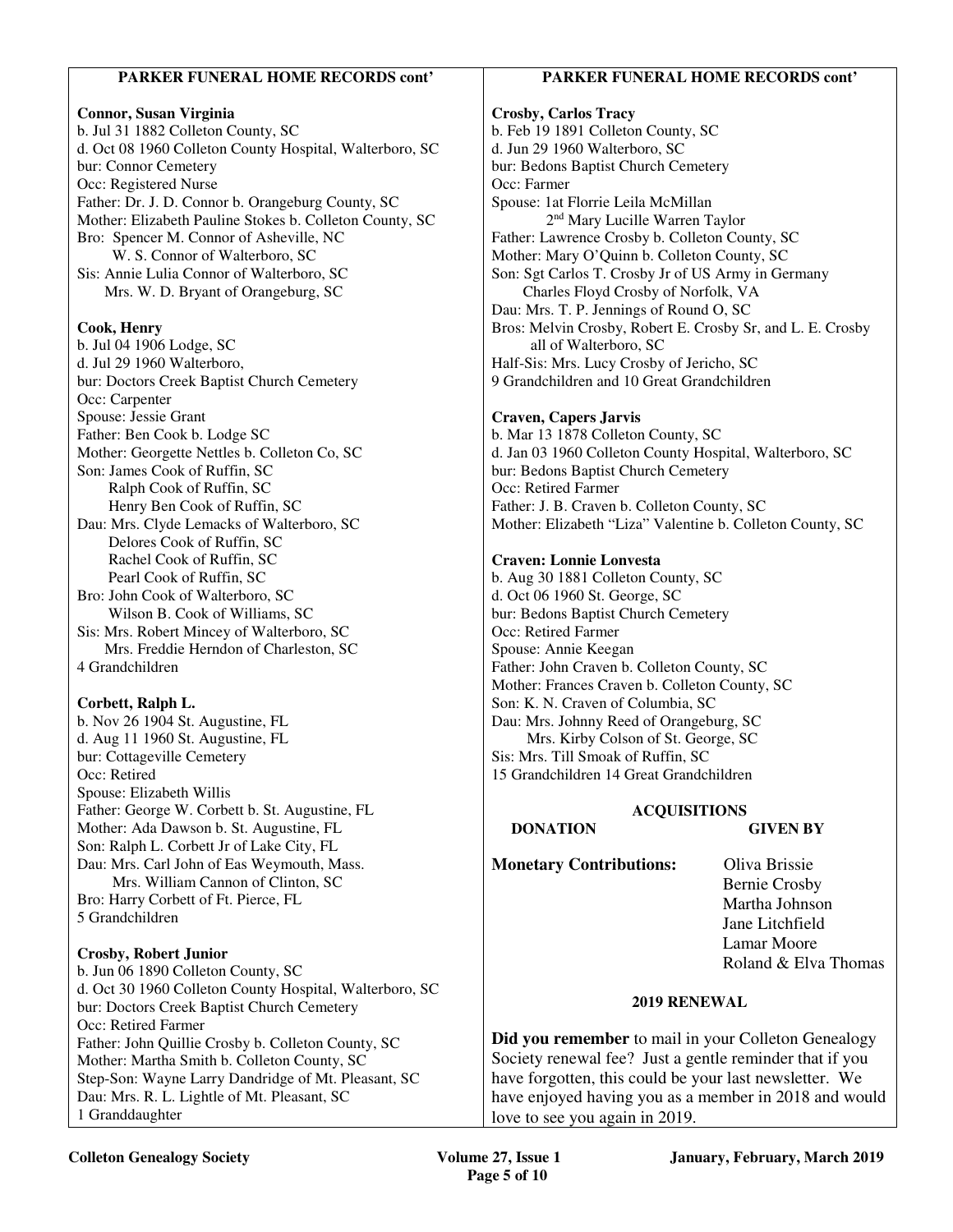#### **PARKER FUNERAL HOME RECORDS cont'**

#### **Connor, Susan Virginia**

b. Jul 31 1882 Colleton County, SC d. Oct 08 1960 Colleton County Hospital, Walterboro, SC bur: Connor Cemetery Occ: Registered Nurse Father: Dr. J. D. Connor b. Orangeburg County, SC Mother: Elizabeth Pauline Stokes b. Colleton County, SC Bro: Spencer M. Connor of Asheville, NC W. S. Connor of Walterboro, SC Sis: Annie Lulia Connor of Walterboro, SC Mrs. W. D. Bryant of Orangeburg, SC

#### **Cook, Henry**

b. Jul 04 1906 Lodge, SC d. Jul 29 1960 Walterboro, bur: Doctors Creek Baptist Church Cemetery Occ: Carpenter Spouse: Jessie Grant Father: Ben Cook b. Lodge SC Mother: Georgette Nettles b. Colleton Co, SC Son: James Cook of Ruffin, SC Ralph Cook of Ruffin, SC Henry Ben Cook of Ruffin, SC Dau: Mrs. Clyde Lemacks of Walterboro, SC Delores Cook of Ruffin, SC Rachel Cook of Ruffin, SC Pearl Cook of Ruffin, SC Bro: John Cook of Walterboro, SC Wilson B. Cook of Williams, SC Sis: Mrs. Robert Mincey of Walterboro, SC Mrs. Freddie Herndon of Charleston, SC 4 Grandchildren

#### **Corbett, Ralph L.**

b. Nov 26 1904 St. Augustine, FL d. Aug 11 1960 St. Augustine, FL bur: Cottageville Cemetery Occ: Retired Spouse: Elizabeth Willis Father: George W. Corbett b. St. Augustine, FL Mother: Ada Dawson b. St. Augustine, FL Son: Ralph L. Corbett Jr of Lake City, FL Dau: Mrs. Carl John of Eas Weymouth, Mass. Mrs. William Cannon of Clinton, SC Bro: Harry Corbett of Ft. Pierce, FL 5 Grandchildren

#### **Crosby, Robert Junior**

b. Jun 06 1890 Colleton County, SC d. Oct 30 1960 Colleton County Hospital, Walterboro, SC bur: Doctors Creek Baptist Church Cemetery Occ: Retired Farmer Father: John Quillie Crosby b. Colleton County, SC Mother: Martha Smith b. Colleton County, SC Step-Son: Wayne Larry Dandridge of Mt. Pleasant, SC Dau: Mrs. R. L. Lightle of Mt. Pleasant, SC 1 Granddaughter

#### **PARKER FUNERAL HOME RECORDS cont'**

# **Crosby, Carlos Tracy**

b. Feb 19 1891 Colleton County, SC d. Jun 29 1960 Walterboro, SC bur: Bedons Baptist Church Cemetery Occ: Farmer Spouse: 1at Florrie Leila McMillan 2nd Mary Lucille Warren Taylor Father: Lawrence Crosby b. Colleton County, SC Mother: Mary O'Quinn b. Colleton County, SC Son: Sgt Carlos T. Crosby Jr of US Army in Germany Charles Floyd Crosby of Norfolk, VA Dau: Mrs. T. P. Jennings of Round O, SC Bros: Melvin Crosby, Robert E. Crosby Sr, and L. E. Crosby all of Walterboro, SC Half-Sis: Mrs. Lucy Crosby of Jericho, SC 9 Grandchildren and 10 Great Grandchildren

#### **Craven, Capers Jarvis**

b. Mar 13 1878 Colleton County, SC d. Jan 03 1960 Colleton County Hospital, Walterboro, SC bur: Bedons Baptist Church Cemetery Occ: Retired Farmer Father: J. B. Craven b. Colleton County, SC Mother: Elizabeth "Liza" Valentine b. Colleton County, SC

#### **Craven: Lonnie Lonvesta**

b. Aug 30 1881 Colleton County, SC d. Oct 06 1960 St. George, SC bur: Bedons Baptist Church Cemetery Occ: Retired Farmer Spouse: Annie Keegan Father: John Craven b. Colleton County, SC Mother: Frances Craven b. Colleton County, SC Son: K. N. Craven of Columbia, SC Dau: Mrs. Johnny Reed of Orangeburg, SC Mrs. Kirby Colson of St. George, SC Sis: Mrs. Till Smoak of Ruffin, SC 15 Grandchildren 14 Great Grandchildren

#### **ACQUISITIONS**

 **DONATION GIVEN BY** 

**Monetary Contributions:** Oliva Brissie

 Bernie Crosby Martha Johnson Jane Litchfield Lamar Moore Roland & Elva Thomas

#### **2019 RENEWAL**

**Did you remember** to mail in your Colleton Genealogy Society renewal fee? Just a gentle reminder that if you have forgotten, this could be your last newsletter. We have enjoyed having you as a member in 2018 and would love to see you again in 2019.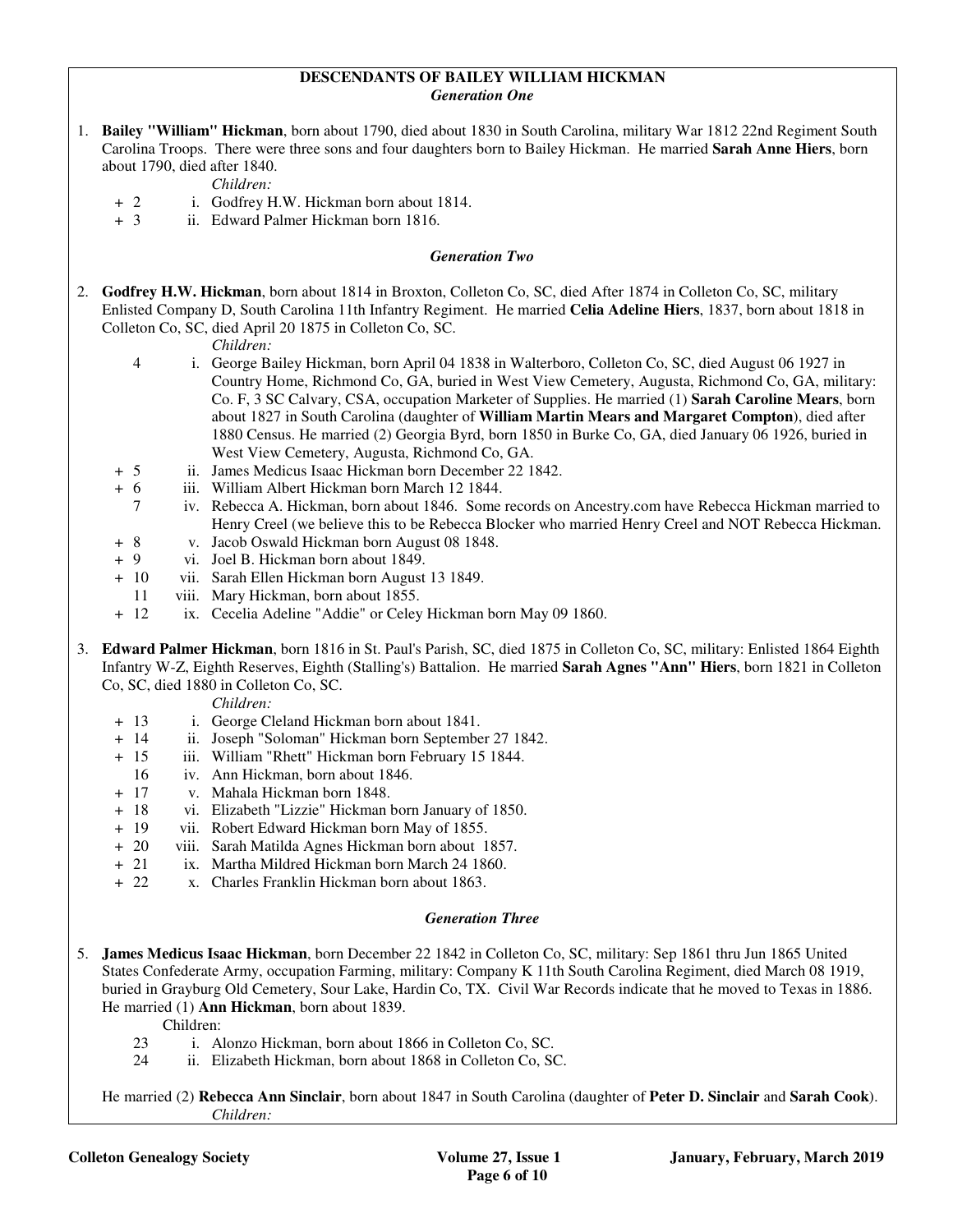#### **DESCENDANTS OF BAILEY WILLIAM HICKMAN**  *Generation One*

|                       |                                                                                                                                                                                                                                                                                             |  | 1. Bailey "William" Hickman, born about 1790, died about 1830 in South Carolina, military War 1812 22nd Regiment South<br>Carolina Troops. There were three sons and four daughters born to Bailey Hickman. He married Sarah Anne Hiers, born<br>about 1790, died after 1840.<br>Children:                                                                                                                                                                                                                                                                                   |  |  |
|-----------------------|---------------------------------------------------------------------------------------------------------------------------------------------------------------------------------------------------------------------------------------------------------------------------------------------|--|------------------------------------------------------------------------------------------------------------------------------------------------------------------------------------------------------------------------------------------------------------------------------------------------------------------------------------------------------------------------------------------------------------------------------------------------------------------------------------------------------------------------------------------------------------------------------|--|--|
|                       | $+2$<br>$+3$                                                                                                                                                                                                                                                                                |  | i. Godfrey H.W. Hickman born about 1814.<br>ii. Edward Palmer Hickman born 1816.                                                                                                                                                                                                                                                                                                                                                                                                                                                                                             |  |  |
| <b>Generation Two</b> |                                                                                                                                                                                                                                                                                             |  |                                                                                                                                                                                                                                                                                                                                                                                                                                                                                                                                                                              |  |  |
| 2.                    |                                                                                                                                                                                                                                                                                             |  | Godfrey H.W. Hickman, born about 1814 in Broxton, Colleton Co, SC, died After 1874 in Colleton Co, SC, military<br>Enlisted Company D, South Carolina 11th Infantry Regiment. He married Celia Adeline Hiers, 1837, born about 1818 in<br>Colleton Co, SC, died April 20 1875 in Colleton Co, SC.<br>Children:                                                                                                                                                                                                                                                               |  |  |
|                       | $\overline{\mathcal{A}}$                                                                                                                                                                                                                                                                    |  | i. George Bailey Hickman, born April 04 1838 in Walterboro, Colleton Co, SC, died August 06 1927 in<br>Country Home, Richmond Co, GA, buried in West View Cemetery, Augusta, Richmond Co, GA, military:<br>Co. F, 3 SC Calvary, CSA, occupation Marketer of Supplies. He married (1) Sarah Caroline Mears, born<br>about 1827 in South Carolina (daughter of William Martin Mears and Margaret Compton), died after<br>1880 Census. He married (2) Georgia Byrd, born 1850 in Burke Co, GA, died January 06 1926, buried in<br>West View Cemetery, Augusta, Richmond Co, GA. |  |  |
|                       | $+5$                                                                                                                                                                                                                                                                                        |  | ii. James Medicus Isaac Hickman born December 22 1842.                                                                                                                                                                                                                                                                                                                                                                                                                                                                                                                       |  |  |
|                       | $+ 6$                                                                                                                                                                                                                                                                                       |  | iii. William Albert Hickman born March 12 1844.                                                                                                                                                                                                                                                                                                                                                                                                                                                                                                                              |  |  |
|                       | $\tau$                                                                                                                                                                                                                                                                                      |  | iv. Rebecca A. Hickman, born about 1846. Some records on Ancestry.com have Rebecca Hickman married to                                                                                                                                                                                                                                                                                                                                                                                                                                                                        |  |  |
|                       | 8<br>$\ddot{}$                                                                                                                                                                                                                                                                              |  | Henry Creel (we believe this to be Rebecca Blocker who married Henry Creel and NOT Rebecca Hickman.<br>v. Jacob Oswald Hickman born August 08 1848.                                                                                                                                                                                                                                                                                                                                                                                                                          |  |  |
|                       | 9<br>$+$                                                                                                                                                                                                                                                                                    |  | vi. Joel B. Hickman born about 1849.                                                                                                                                                                                                                                                                                                                                                                                                                                                                                                                                         |  |  |
|                       | $+ 10$                                                                                                                                                                                                                                                                                      |  | vii. Sarah Ellen Hickman born August 13 1849.                                                                                                                                                                                                                                                                                                                                                                                                                                                                                                                                |  |  |
|                       | 11                                                                                                                                                                                                                                                                                          |  | viii. Mary Hickman, born about 1855.                                                                                                                                                                                                                                                                                                                                                                                                                                                                                                                                         |  |  |
|                       | $+ 12$                                                                                                                                                                                                                                                                                      |  | ix. Cecelia Adeline "Addie" or Celey Hickman born May 09 1860.                                                                                                                                                                                                                                                                                                                                                                                                                                                                                                               |  |  |
| 3.                    | Edward Palmer Hickman, born 1816 in St. Paul's Parish, SC, died 1875 in Colleton Co, SC, military: Enlisted 1864 Eighth<br>Infantry W-Z, Eighth Reserves, Eighth (Stalling's) Battalion. He married Sarah Agnes "Ann" Hiers, born 1821 in Colleton<br>Co, SC, died 1880 in Colleton Co, SC. |  |                                                                                                                                                                                                                                                                                                                                                                                                                                                                                                                                                                              |  |  |
|                       |                                                                                                                                                                                                                                                                                             |  | Children:                                                                                                                                                                                                                                                                                                                                                                                                                                                                                                                                                                    |  |  |
|                       | $+ 13$                                                                                                                                                                                                                                                                                      |  | i. George Cleland Hickman born about 1841.<br>ii. Joseph "Soloman" Hickman born September 27 1842.                                                                                                                                                                                                                                                                                                                                                                                                                                                                           |  |  |
|                       | + 14<br>$+ 15$                                                                                                                                                                                                                                                                              |  | iii. William "Rhett" Hickman born February 15 1844.                                                                                                                                                                                                                                                                                                                                                                                                                                                                                                                          |  |  |
|                       | 16                                                                                                                                                                                                                                                                                          |  | iv. Ann Hickman, born about 1846.                                                                                                                                                                                                                                                                                                                                                                                                                                                                                                                                            |  |  |
|                       | $+ 17$                                                                                                                                                                                                                                                                                      |  | v. Mahala Hickman born 1848.                                                                                                                                                                                                                                                                                                                                                                                                                                                                                                                                                 |  |  |
|                       | -18<br>$+$                                                                                                                                                                                                                                                                                  |  | vi. Elizabeth "Lizzie" Hickman born January of 1850.                                                                                                                                                                                                                                                                                                                                                                                                                                                                                                                         |  |  |
|                       | 19<br>$+$                                                                                                                                                                                                                                                                                   |  | vii. Robert Edward Hickman born May of 1855.                                                                                                                                                                                                                                                                                                                                                                                                                                                                                                                                 |  |  |
|                       | $+20$                                                                                                                                                                                                                                                                                       |  | viii. Sarah Matilda Agnes Hickman born about 1857.                                                                                                                                                                                                                                                                                                                                                                                                                                                                                                                           |  |  |
|                       | 21<br>$+$                                                                                                                                                                                                                                                                                   |  | ix. Martha Mildred Hickman born March 24 1860.                                                                                                                                                                                                                                                                                                                                                                                                                                                                                                                               |  |  |
|                       | $+22$                                                                                                                                                                                                                                                                                       |  | x. Charles Franklin Hickman born about 1863.                                                                                                                                                                                                                                                                                                                                                                                                                                                                                                                                 |  |  |
|                       |                                                                                                                                                                                                                                                                                             |  |                                                                                                                                                                                                                                                                                                                                                                                                                                                                                                                                                                              |  |  |

#### *Generation Three*

5. **James Medicus Isaac Hickman**, born December 22 1842 in Colleton Co, SC, military: Sep 1861 thru Jun 1865 United States Confederate Army, occupation Farming, military: Company K 11th South Carolina Regiment, died March 08 1919, buried in Grayburg Old Cemetery, Sour Lake, Hardin Co, TX. Civil War Records indicate that he moved to Texas in 1886. He married (1) **Ann Hickman**, born about 1839.

- Children:<br>23 i. A
- 23 i. Alonzo Hickman, born about 1866 in Colleton Co, SC.<br>24 ii. Elizabeth Hickman, born about 1868 in Colleton Co, St
- ii. Elizabeth Hickman, born about 1868 in Colleton Co, SC.

 He married (2) **Rebecca Ann Sinclair**, born about 1847 in South Carolina (daughter of **Peter D. Sinclair** and **Sarah Cook**). *Children:*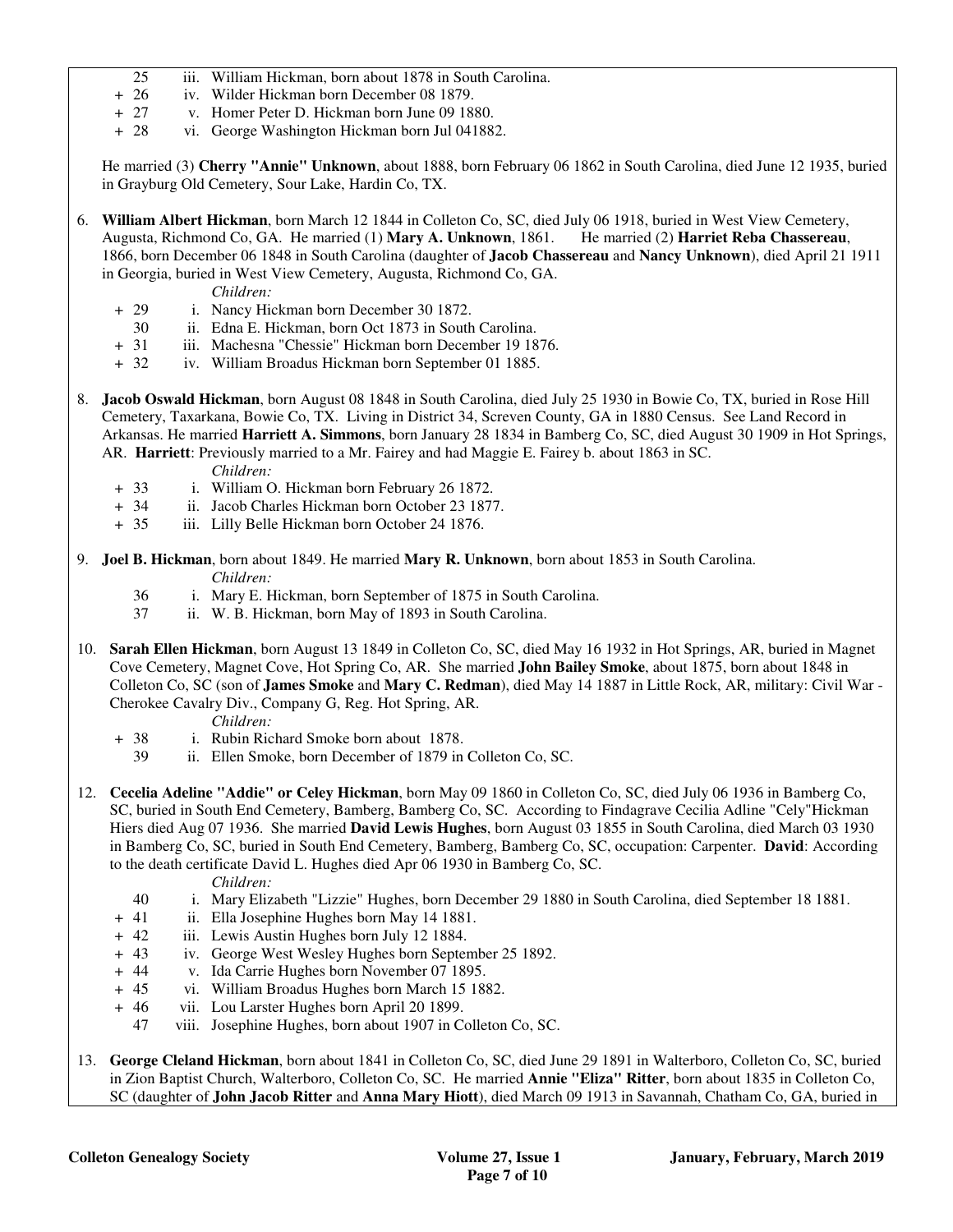- 25 iii. William Hickman, born about 1878 in South Carolina.
- 
- + 26 iv. Wilder Hickman born December 08 1879.<br>+ 27 v. Homer Peter D. Hickman born June 09 18 v. Homer Peter D. Hickman born June 09 1880.
- + 28 vi. George Washington Hickman born Jul 041882.

 He married (3) **Cherry "Annie" Unknown**, about 1888, born February 06 1862 in South Carolina, died June 12 1935, buried in Grayburg Old Cemetery, Sour Lake, Hardin Co, TX.

- 6. **William Albert Hickman**, born March 12 1844 in Colleton Co, SC, died July 06 1918, buried in West View Cemetery, Augusta, Richmond Co, GA. He married (1) **Mary A. Unknown**, 1861. He married (2) **Harriet Reba Chassereau**, 1866, born December 06 1848 in South Carolina (daughter of **Jacob Chassereau** and **Nancy Unknown**), died April 21 1911 in Georgia, buried in West View Cemetery, Augusta, Richmond Co, GA.
	- *Children:*
	- + 29 i. Nancy Hickman born December 30 1872.
	- 30 ii. Edna E. Hickman, born Oct 1873 in South Carolina.<br>
	+ 31 iii. Machesna "Chessie" Hickman born December 19 18
	- iii. Machesna "Chessie" Hickman born December 19 1876.
	- + 32 iv. William Broadus Hickman born September 01 1885.
- 8. **Jacob Oswald Hickman**, born August 08 1848 in South Carolina, died July 25 1930 in Bowie Co, TX, buried in Rose Hill Cemetery, Taxarkana, Bowie Co, TX. Living in District 34, Screven County, GA in 1880 Census. See Land Record in Arkansas. He married **Harriett A. Simmons**, born January 28 1834 in Bamberg Co, SC, died August 30 1909 in Hot Springs, AR. **Harriett**: Previously married to a Mr. Fairey and had Maggie E. Fairey b. about 1863 in SC.

*Children:*

- + 33 i. William O. Hickman born February 26 1872.
- + 34 ii. Jacob Charles Hickman born October 23 1877.
- + 35 iii. Lilly Belle Hickman born October 24 1876.
- 9. **Joel B. Hickman**, born about 1849. He married **Mary R. Unknown**, born about 1853 in South Carolina. *Children:*
	- 36 i. Mary E. Hickman, born September of 1875 in South Carolina.
	- 37 ii. W. B. Hickman, born May of 1893 in South Carolina.
- 10. **Sarah Ellen Hickman**, born August 13 1849 in Colleton Co, SC, died May 16 1932 in Hot Springs, AR, buried in Magnet Cove Cemetery, Magnet Cove, Hot Spring Co, AR. She married **John Bailey Smoke**, about 1875, born about 1848 in Colleton Co, SC (son of **James Smoke** and **Mary C. Redman**), died May 14 1887 in Little Rock, AR, military: Civil War - Cherokee Cavalry Div., Company G, Reg. Hot Spring, AR.
	- *Children:*
	- + 38 i. Rubin Richard Smoke born about 1878.
		- 39 ii. Ellen Smoke, born December of 1879 in Colleton Co, SC.
- 12. **Cecelia Adeline "Addie" or Celey Hickman**, born May 09 1860 in Colleton Co, SC, died July 06 1936 in Bamberg Co, SC, buried in South End Cemetery, Bamberg, Bamberg Co, SC. According to Findagrave Cecilia Adline "Cely"Hickman Hiers died Aug 07 1936. She married **David Lewis Hughes**, born August 03 1855 in South Carolina, died March 03 1930 in Bamberg Co, SC, buried in South End Cemetery, Bamberg, Bamberg Co, SC, occupation: Carpenter. **David**: According to the death certificate David L. Hughes died Apr 06 1930 in Bamberg Co, SC.
	- *Children:*
	- 40 i. Mary Elizabeth "Lizzie" Hughes, born December 29 1880 in South Carolina, died September 18 1881.
	- + 41 ii. Ella Josephine Hughes born May 14 1881.
	- + 42 iii. Lewis Austin Hughes born July 12 1884.
	- + 43 iv. George West Wesley Hughes born September 25 1892.
	- + 44 v. Ida Carrie Hughes born November 07 1895.
	- + 45 vi. William Broadus Hughes born March 15 1882.
	- + 46 vii. Lou Larster Hughes born April 20 1899.
	- 47 viii. Josephine Hughes, born about 1907 in Colleton Co, SC.
- 13. **George Cleland Hickman**, born about 1841 in Colleton Co, SC, died June 29 1891 in Walterboro, Colleton Co, SC, buried in Zion Baptist Church, Walterboro, Colleton Co, SC. He married **Annie "Eliza" Ritter**, born about 1835 in Colleton Co, SC (daughter of **John Jacob Ritter** and **Anna Mary Hiott**), died March 09 1913 in Savannah, Chatham Co, GA, buried in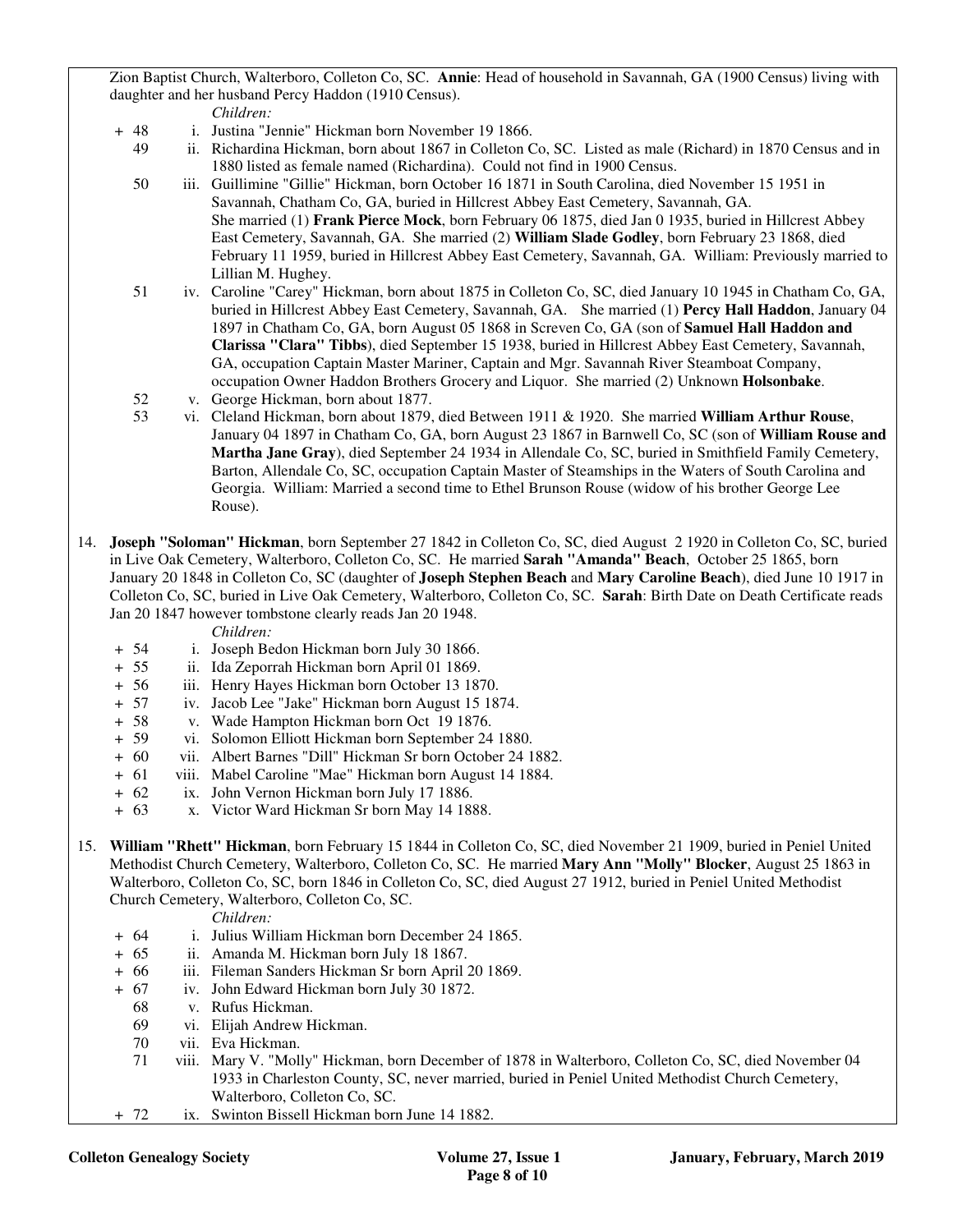Zion Baptist Church, Walterboro, Colleton Co, SC. **Annie**: Head of household in Savannah, GA (1900 Census) living with daughter and her husband Percy Haddon (1910 Census).

*Children:*

- + 48 i. Justina "Jennie" Hickman born November 19 1866.
	- 49 ii. Richardina Hickman, born about 1867 in Colleton Co, SC. Listed as male (Richard) in 1870 Census and in 1880 listed as female named (Richardina). Could not find in 1900 Census.
	- 50 iii. Guillimine "Gillie" Hickman, born October 16 1871 in South Carolina, died November 15 1951 in Savannah, Chatham Co, GA, buried in Hillcrest Abbey East Cemetery, Savannah, GA. She married (1) **Frank Pierce Mock**, born February 06 1875, died Jan 0 1935, buried in Hillcrest Abbey East Cemetery, Savannah, GA. She married (2) **William Slade Godley**, born February 23 1868, died February 11 1959, buried in Hillcrest Abbey East Cemetery, Savannah, GA. William: Previously married to Lillian M. Hughey.
	- 51 iv. Caroline "Carey" Hickman, born about 1875 in Colleton Co, SC, died January 10 1945 in Chatham Co, GA, buried in Hillcrest Abbey East Cemetery, Savannah, GA. She married (1) **Percy Hall Haddon**, January 04 1897 in Chatham Co, GA, born August 05 1868 in Screven Co, GA (son of **Samuel Hall Haddon and Clarissa "Clara" Tibbs**), died September 15 1938, buried in Hillcrest Abbey East Cemetery, Savannah, GA, occupation Captain Master Mariner, Captain and Mgr. Savannah River Steamboat Company, occupation Owner Haddon Brothers Grocery and Liquor. She married (2) Unknown **Holsonbake**.
	- 52 v. George Hickman, born about 1877.
	- 53 vi. Cleland Hickman, born about 1879, died Between 1911 & 1920. She married **William Arthur Rouse**, January 04 1897 in Chatham Co, GA, born August 23 1867 in Barnwell Co, SC (son of **William Rouse and Martha Jane Gray**), died September 24 1934 in Allendale Co, SC, buried in Smithfield Family Cemetery, Barton, Allendale Co, SC, occupation Captain Master of Steamships in the Waters of South Carolina and Georgia. William: Married a second time to Ethel Brunson Rouse (widow of his brother George Lee Rouse).
- 14. **Joseph "Soloman" Hickman**, born September 27 1842 in Colleton Co, SC, died August 2 1920 in Colleton Co, SC, buried in Live Oak Cemetery, Walterboro, Colleton Co, SC. He married **Sarah "Amanda" Beach**, October 25 1865, born January 20 1848 in Colleton Co, SC (daughter of **Joseph Stephen Beach** and **Mary Caroline Beach**), died June 10 1917 in Colleton Co, SC, buried in Live Oak Cemetery, Walterboro, Colleton Co, SC. **Sarah**: Birth Date on Death Certificate reads Jan 20 1847 however tombstone clearly reads Jan 20 1948.

*Children:*

- + 54 i. Joseph Bedon Hickman born July 30 1866.<br>+ 55 ii. Ida Zeporrah Hickman born April 01 1869.
- ii. Ida Zeporrah Hickman born April 01 1869.
- + 56 iii. Henry Hayes Hickman born October 13 1870.
- + 57 iv. Jacob Lee "Jake" Hickman born August 15 1874.
- + 58 v. Wade Hampton Hickman born Oct 19 1876.
- + 59 vi. Solomon Elliott Hickman born September 24 1880.
- + 60 vii. Albert Barnes "Dill" Hickman Sr born October 24 1882.
- + 61 viii. Mabel Caroline "Mae" Hickman born August 14 1884.
- + 62 ix. John Vernon Hickman born July 17 1886.
- + 63 x. Victor Ward Hickman Sr born May 14 1888.
- 15. **William "Rhett" Hickman**, born February 15 1844 in Colleton Co, SC, died November 21 1909, buried in Peniel United Methodist Church Cemetery, Walterboro, Colleton Co, SC. He married **Mary Ann "Molly" Blocker**, August 25 1863 in Walterboro, Colleton Co, SC, born 1846 in Colleton Co, SC, died August 27 1912, buried in Peniel United Methodist Church Cemetery, Walterboro, Colleton Co, SC.

#### *Children:*

- + 64 i. Julius William Hickman born December 24 1865.
- + 65 ii. Amanda M. Hickman born July 18 1867.
- + 66 iii. Fileman Sanders Hickman Sr born April 20 1869.
- + 67 iv. John Edward Hickman born July 30 1872.
	- 68 v. Rufus Hickman.
	- 69 vi. Elijah Andrew Hickman.
	- 70 vii. Eva Hickman.
	- 71 viii. Mary V. "Molly" Hickman, born December of 1878 in Walterboro, Colleton Co, SC, died November 04 1933 in Charleston County, SC, never married, buried in Peniel United Methodist Church Cemetery, Walterboro, Colleton Co, SC.
- + 72 ix. Swinton Bissell Hickman born June 14 1882.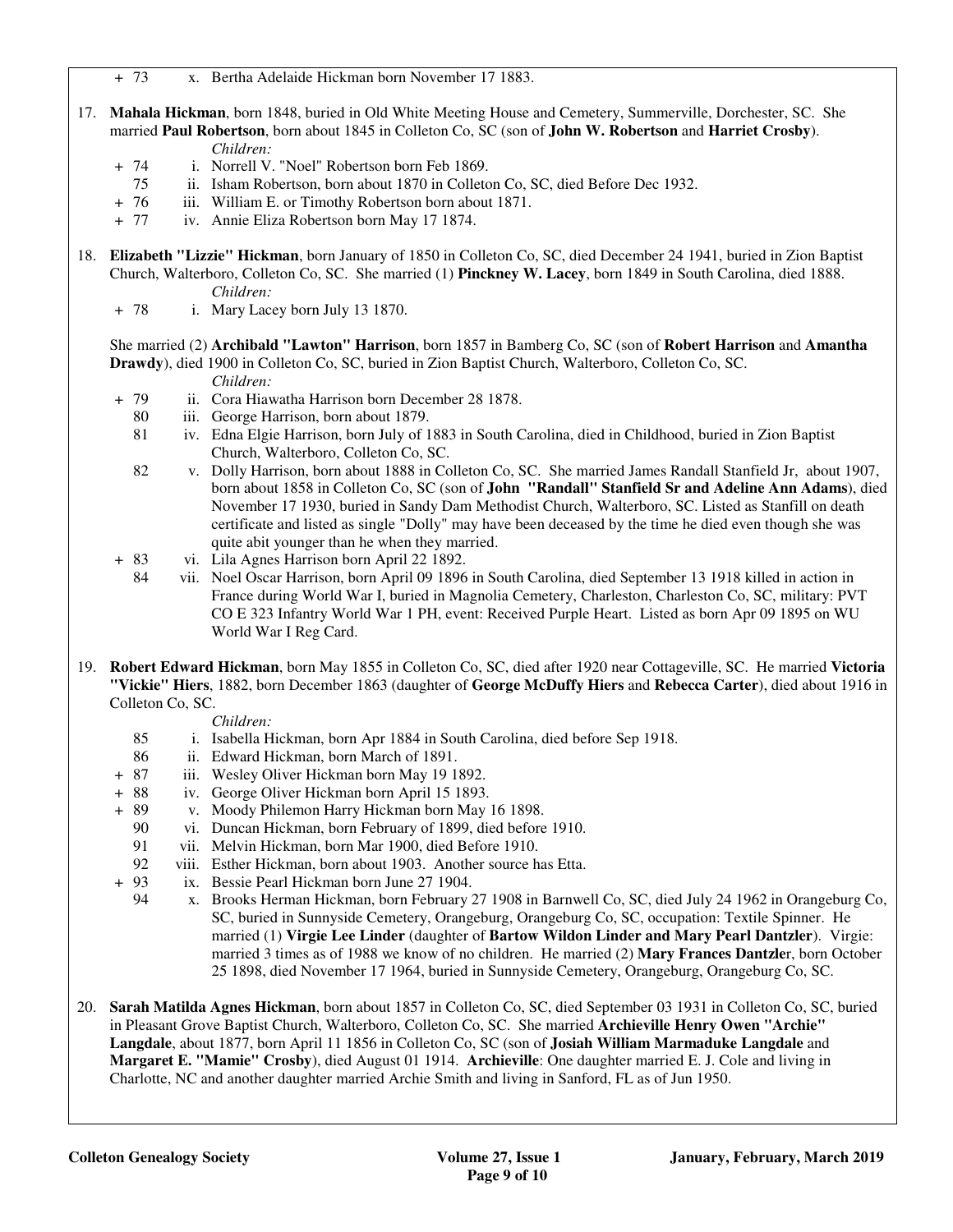+ 73 x. Bertha Adelaide Hickman born November 17 1883.

- 17. **Mahala Hickman**, born 1848, buried in Old White Meeting House and Cemetery, Summerville, Dorchester, SC. She married **Paul Robertson**, born about 1845 in Colleton Co, SC (son of **John W. Robertson** and **Harriet Crosby**). *Children:*
	- + 74 i. Norrell V. "Noel" Robertson born Feb 1869.
		- 75 ii. Isham Robertson, born about 1870 in Colleton Co, SC, died Before Dec 1932.
	- + 76 iii. William E. or Timothy Robertson born about 1871.
	- + 77 iv. Annie Eliza Robertson born May 17 1874.
- 18. **Elizabeth "Lizzie" Hickman**, born January of 1850 in Colleton Co, SC, died December 24 1941, buried in Zion Baptist Church, Walterboro, Colleton Co, SC. She married (1) **Pinckney W. Lacey**, born 1849 in South Carolina, died 1888. *Children:*
	- + 78 i. Mary Lacey born July 13 1870.

 She married (2) **Archibald "Lawton" Harrison**, born 1857 in Bamberg Co, SC (son of **Robert Harrison** and **Amantha Drawdy**), died 1900 in Colleton Co, SC, buried in Zion Baptist Church, Walterboro, Colleton Co, SC.

#### *Children:*

- + 79 ii. Cora Hiawatha Harrison born December 28 1878.
	- 80 iii. George Harrison, born about 1879.
	- 81 iv. Edna Elgie Harrison, born July of 1883 in South Carolina, died in Childhood, buried in Zion Baptist Church, Walterboro, Colleton Co, SC.
	- 82 v. Dolly Harrison, born about 1888 in Colleton Co, SC. She married James Randall Stanfield Jr, about 1907, born about 1858 in Colleton Co, SC (son of **John "Randall" Stanfield Sr and Adeline Ann Adams**), died November 17 1930, buried in Sandy Dam Methodist Church, Walterboro, SC. Listed as Stanfill on death certificate and listed as single "Dolly" may have been deceased by the time he died even though she was quite abit younger than he when they married.
- + 83 vi. Lila Agnes Harrison born April 22 1892.
	- 84 vii. Noel Oscar Harrison, born April 09 1896 in South Carolina, died September 13 1918 killed in action in France during World War I, buried in Magnolia Cemetery, Charleston, Charleston Co, SC, military: PVT CO E 323 Infantry World War 1 PH, event: Received Purple Heart. Listed as born Apr 09 1895 on WU World War I Reg Card.
- 19. **Robert Edward Hickman**, born May 1855 in Colleton Co, SC, died after 1920 near Cottageville, SC. He married **Victoria "Vickie" Hiers**, 1882, born December 1863 (daughter of **George McDuffy Hiers** and **Rebecca Carter**), died about 1916 in Colleton Co, SC.

#### *Children:*

- 85 i. Isabella Hickman, born Apr 1884 in South Carolina, died before Sep 1918.
- 86 ii. Edward Hickman, born March of 1891.
- + 87 iii. Wesley Oliver Hickman born May 19 1892.
- + 88 iv. George Oliver Hickman born April 15 1893.
- + 89 v. Moody Philemon Harry Hickman born May 16 1898.
	- 90 vi. Duncan Hickman, born February of 1899, died before 1910.
	- 91 vii. Melvin Hickman, born Mar 1900, died Before 1910.
- 92 viii. Esther Hickman, born about 1903. Another source has Etta.<br>+ 93 ix. Bessie Pearl Hickman born June 27 1904.
- ix. Bessie Pearl Hickman born June 27 1904.
	- 94 x. Brooks Herman Hickman, born February 27 1908 in Barnwell Co, SC, died July 24 1962 in Orangeburg Co, SC, buried in Sunnyside Cemetery, Orangeburg, Orangeburg Co, SC, occupation: Textile Spinner. He married (1) **Virgie Lee Linder** (daughter of **Bartow Wildon Linder and Mary Pearl Dantzler**). Virgie: married 3 times as of 1988 we know of no children. He married (2) **Mary Frances Dantzle**r, born October 25 1898, died November 17 1964, buried in Sunnyside Cemetery, Orangeburg, Orangeburg Co, SC.
- 20. **Sarah Matilda Agnes Hickman**, born about 1857 in Colleton Co, SC, died September 03 1931 in Colleton Co, SC, buried in Pleasant Grove Baptist Church, Walterboro, Colleton Co, SC. She married **Archieville Henry Owen "Archie" Langdale**, about 1877, born April 11 1856 in Colleton Co, SC (son of **Josiah William Marmaduke Langdale** and **Margaret E. "Mamie" Crosby**), died August 01 1914. **Archieville**: One daughter married E. J. Cole and living in Charlotte, NC and another daughter married Archie Smith and living in Sanford, FL as of Jun 1950.